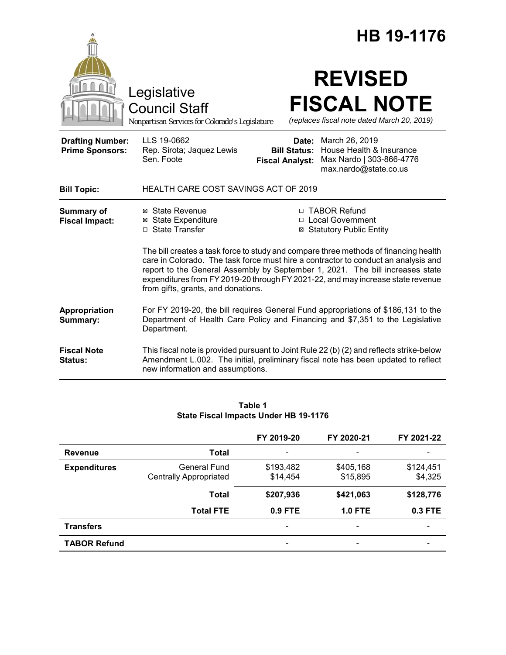|                                                   |                                                                                                                                                                                                                                                                                                                                                                                      |                                                        | HB 19-1176                                                                                                                                                                    |  |
|---------------------------------------------------|--------------------------------------------------------------------------------------------------------------------------------------------------------------------------------------------------------------------------------------------------------------------------------------------------------------------------------------------------------------------------------------|--------------------------------------------------------|-------------------------------------------------------------------------------------------------------------------------------------------------------------------------------|--|
|                                                   | Legislative<br><b>Council Staff</b><br>Nonpartisan Services for Colorado's Legislature                                                                                                                                                                                                                                                                                               |                                                        | <b>REVISED</b><br><b>FISCAL NOTE</b><br>(replaces fiscal note dated March 20, 2019)                                                                                           |  |
| <b>Drafting Number:</b><br><b>Prime Sponsors:</b> | LLS 19-0662<br>Rep. Sirota; Jaquez Lewis<br>Sen. Foote                                                                                                                                                                                                                                                                                                                               | Date:<br><b>Bill Status:</b><br><b>Fiscal Analyst:</b> | March 26, 2019<br>House Health & Insurance<br>Max Nardo   303-866-4776<br>max.nardo@state.co.us                                                                               |  |
| <b>Bill Topic:</b>                                | HEALTH CARE COST SAVINGS ACT OF 2019                                                                                                                                                                                                                                                                                                                                                 |                                                        |                                                                                                                                                                               |  |
| <b>Summary of</b><br><b>Fiscal Impact:</b>        | ⊠ State Revenue<br><b>⊠</b> State Expenditure<br>□ State Transfer                                                                                                                                                                                                                                                                                                                    |                                                        | □ TABOR Refund<br>□ Local Government<br><b>⊠ Statutory Public Entity</b>                                                                                                      |  |
|                                                   | The bill creates a task force to study and compare three methods of financing health<br>care in Colorado. The task force must hire a contractor to conduct an analysis and<br>report to the General Assembly by September 1, 2021. The bill increases state<br>expenditures from FY 2019-20 through FY 2021-22, and may increase state revenue<br>from gifts, grants, and donations. |                                                        |                                                                                                                                                                               |  |
| Appropriation<br>Summary:                         | For FY 2019-20, the bill requires General Fund appropriations of \$186,131 to the<br>Department of Health Care Policy and Financing and \$7,351 to the Legislative<br>Department.                                                                                                                                                                                                    |                                                        |                                                                                                                                                                               |  |
| <b>Fiscal Note</b><br>Status:                     | new information and assumptions.                                                                                                                                                                                                                                                                                                                                                     |                                                        | This fiscal note is provided pursuant to Joint Rule 22 (b) (2) and reflects strike-below<br>Amendment L.002. The initial, preliminary fiscal note has been updated to reflect |  |

#### **Table 1 State Fiscal Impacts Under HB 19-1176**

|                     |                               | FY 2019-20 | FY 2020-21               | FY 2021-22 |
|---------------------|-------------------------------|------------|--------------------------|------------|
| <b>Revenue</b>      | <b>Total</b>                  |            |                          |            |
| <b>Expenditures</b> | General Fund                  | \$193,482  | \$405,168                | \$124,451  |
|                     | <b>Centrally Appropriated</b> | \$14,454   | \$15,895                 | \$4,325    |
|                     | <b>Total</b>                  | \$207,936  | \$421,063                | \$128,776  |
|                     | <b>Total FTE</b>              | 0.9 FTE    | <b>1.0 FTE</b>           | 0.3 FTE    |
| <b>Transfers</b>    |                               | -          | $\overline{\phantom{a}}$ | -          |
| <b>TABOR Refund</b> |                               |            | $\overline{\phantom{a}}$ |            |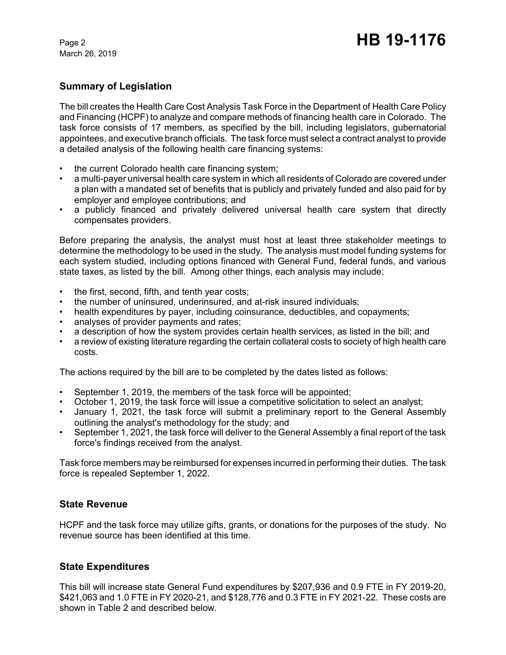March 26, 2019

## **Summary of Legislation**

The bill creates the Health Care Cost Analysis Task Force in the Department of Health Care Policy and Financing (HCPF) to analyze and compare methods of financing health care in Colorado. The task force consists of 17 members, as specified by the bill, including legislators, gubernatorial appointees, and executive branch officials. The task force must select a contract analyst to provide a detailed analysis of the following health care financing systems:

- the current Colorado health care financing system;
- a multi-payer universal health care system in which all residents of Colorado are covered under a plan with a mandated set of benefits that is publicly and privately funded and also paid for by employer and employee contributions; and
- a publicly financed and privately delivered universal health care system that directly compensates providers.

Before preparing the analysis, the analyst must host at least three stakeholder meetings to determine the methodology to be used in the study. The analysis must model funding systems for each system studied, including options financed with General Fund, federal funds, and various state taxes, as listed by the bill. Among other things, each analysis may include:

- the first, second, fifth, and tenth year costs;
- the number of uninsured, underinsured, and at-risk insured individuals;
- health expenditures by payer, including coinsurance, deductibles, and copayments;
- analyses of provider payments and rates;
- a description of how the system provides certain health services, as listed in the bill; and
- a review of existing literature regarding the certain collateral costs to society of high health care costs.

The actions required by the bill are to be completed by the dates listed as follows:

- September 1, 2019, the members of the task force will be appointed;
- October 1, 2019, the task force will issue a competitive solicitation to select an analyst;
- January 1, 2021, the task force will submit a preliminary report to the General Assembly outlining the analyst's methodology for the study; and
- September 1, 2021, the task force will deliver to the General Assembly a final report of the task force's findings received from the analyst.

Task force members may be reimbursed for expenses incurred in performing their duties. The task force is repealed September 1, 2022.

## **State Revenue**

HCPF and the task force may utilize gifts, grants, or donations for the purposes of the study. No revenue source has been identified at this time.

## **State Expenditures**

This bill will increase state General Fund expenditures by \$207,936 and 0.9 FTE in FY 2019-20, \$421,063 and 1.0 FTE in FY 2020-21, and \$128,776 and 0.3 FTE in FY 2021-22. These costs are shown in Table 2 and described below.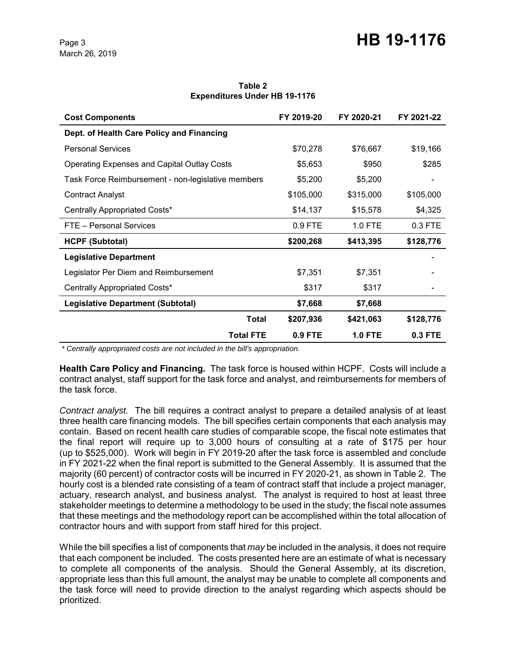#### **Table 2 Expenditures Under HB 19-1176**

| <b>Cost Components</b>                             | FY 2019-20 | FY 2020-21     | FY 2021-22 |
|----------------------------------------------------|------------|----------------|------------|
| Dept. of Health Care Policy and Financing          |            |                |            |
| <b>Personal Services</b>                           | \$70,278   | \$76,667       | \$19,166   |
| <b>Operating Expenses and Capital Outlay Costs</b> | \$5,653    | \$950          | \$285      |
| Task Force Reimbursement - non-legislative members | \$5,200    | \$5,200        |            |
| <b>Contract Analyst</b>                            | \$105,000  | \$315,000      | \$105,000  |
| Centrally Appropriated Costs*                      | \$14,137   | \$15,578       | \$4,325    |
| FTE - Personal Services                            | 0.9 FTE    | 1.0 FTE        | $0.3$ FTE  |
| <b>HCPF (Subtotal)</b>                             | \$200,268  | \$413,395      | \$128,776  |
| <b>Legislative Department</b>                      |            |                |            |
| Legislator Per Diem and Reimbursement              | \$7,351    | \$7,351        |            |
| Centrally Appropriated Costs*                      | \$317      | \$317          |            |
| <b>Legislative Department (Subtotal)</b>           | \$7,668    | \$7,668        |            |
| Total                                              | \$207,936  | \$421,063      | \$128,776  |
| <b>Total FTE</b>                                   | 0.9 FTE    | <b>1.0 FTE</b> | 0.3 FTE    |

 *\* Centrally appropriated costs are not included in the bill's appropriation.*

**Health Care Policy and Financing.** The task force is housed within HCPF. Costs will include a contract analyst, staff support for the task force and analyst, and reimbursements for members of the task force.

*Contract analyst.* The bill requires a contract analyst to prepare a detailed analysis of at least three health care financing models. The bill specifies certain components that each analysis may contain. Based on recent health care studies of comparable scope, the fiscal note estimates that the final report will require up to 3,000 hours of consulting at a rate of \$175 per hour (up to \$525,000). Work will begin in FY 2019-20 after the task force is assembled and conclude in FY 2021-22 when the final report is submitted to the General Assembly. It is assumed that the majority (60 percent) of contractor costs will be incurred in FY 2020-21, as shown in Table 2. The hourly cost is a blended rate consisting of a team of contract staff that include a project manager, actuary, research analyst, and business analyst. The analyst is required to host at least three stakeholder meetings to determine a methodology to be used in the study; the fiscal note assumes that these meetings and the methodology report can be accomplished within the total allocation of contractor hours and with support from staff hired for this project.

While the bill specifies a list of components that *may* be included in the analysis, it does not require that each component be included. The costs presented here are an estimate of what is necessary to complete all components of the analysis. Should the General Assembly, at its discretion, appropriate less than this full amount, the analyst may be unable to complete all components and the task force will need to provide direction to the analyst regarding which aspects should be prioritized.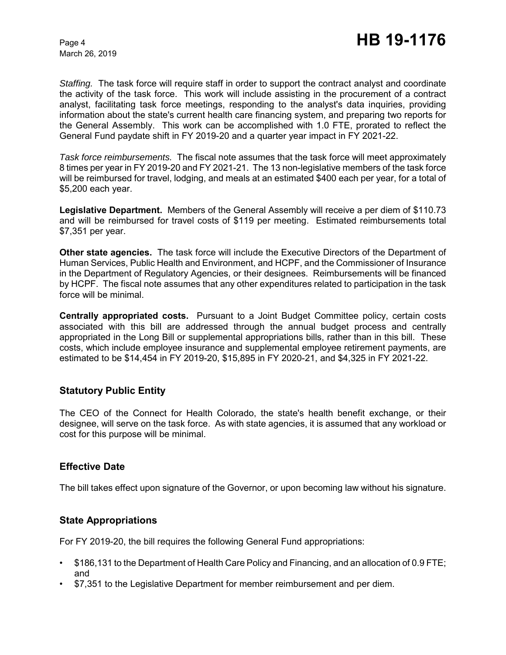March 26, 2019

*Staffing.* The task force will require staff in order to support the contract analyst and coordinate the activity of the task force. This work will include assisting in the procurement of a contract analyst, facilitating task force meetings, responding to the analyst's data inquiries, providing information about the state's current health care financing system, and preparing two reports for the General Assembly. This work can be accomplished with 1.0 FTE, prorated to reflect the General Fund paydate shift in FY 2019-20 and a quarter year impact in FY 2021-22.

*Task force reimbursements.* The fiscal note assumes that the task force will meet approximately 8 times per year in FY 2019-20 and FY 2021-21. The 13 non-legislative members of the task force will be reimbursed for travel, lodging, and meals at an estimated \$400 each per year, for a total of \$5,200 each year.

**Legislative Department.** Members of the General Assembly will receive a per diem of \$110.73 and will be reimbursed for travel costs of \$119 per meeting. Estimated reimbursements total \$7,351 per year.

**Other state agencies.** The task force will include the Executive Directors of the Department of Human Services, Public Health and Environment, and HCPF, and the Commissioner of Insurance in the Department of Regulatory Agencies, or their designees. Reimbursements will be financed by HCPF. The fiscal note assumes that any other expenditures related to participation in the task force will be minimal.

**Centrally appropriated costs.** Pursuant to a Joint Budget Committee policy, certain costs associated with this bill are addressed through the annual budget process and centrally appropriated in the Long Bill or supplemental appropriations bills, rather than in this bill. These costs, which include employee insurance and supplemental employee retirement payments, are estimated to be \$14,454 in FY 2019-20, \$15,895 in FY 2020-21, and \$4,325 in FY 2021-22.

## **Statutory Public Entity**

The CEO of the Connect for Health Colorado, the state's health benefit exchange, or their designee, will serve on the task force. As with state agencies, it is assumed that any workload or cost for this purpose will be minimal.

## **Effective Date**

The bill takes effect upon signature of the Governor, or upon becoming law without his signature.

## **State Appropriations**

For FY 2019-20, the bill requires the following General Fund appropriations:

- \$186,131 to the Department of Health Care Policy and Financing, and an allocation of 0.9 FTE; and
- \$7,351 to the Legislative Department for member reimbursement and per diem.